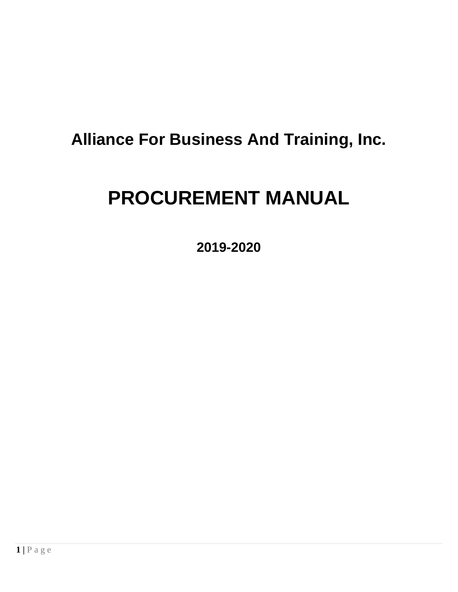## **Alliance For Business And Training, Inc.**

# **PROCUREMENT MANUAL**

**2019-2020**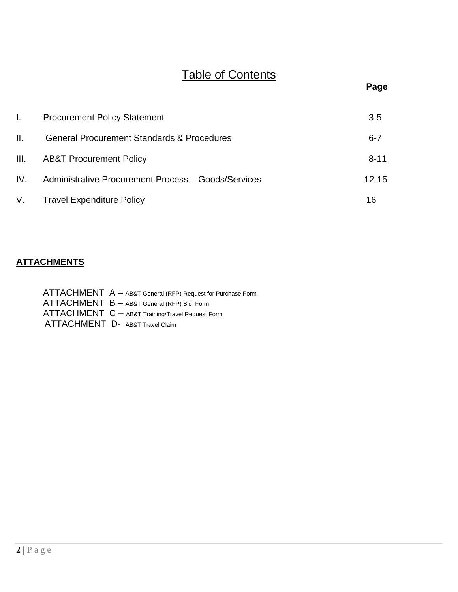## Table of Contents

|     | <b>Procurement Policy Statement</b>                        | $3-5$     |
|-----|------------------------------------------------------------|-----------|
| II. | <b>General Procurement Standards &amp; Procedures</b>      | $6 - 7$   |
|     | III. AB&T Procurement Policy                               | $8 - 11$  |
| IV. | <b>Administrative Procurement Process - Goods/Services</b> | $12 - 15$ |
|     | V. Travel Expenditure Policy                               | 16        |

### **ATTACHMENTS**

| ATTACHMENT A - AB&T General (RFP) Request for Purchase Form |
|-------------------------------------------------------------|
| ATTACHMENT B - AB&T General (RFP) Bid Form                  |
| ATTACHMENT C - AB&T Training/Travel Request Form            |
| ATTACHMENT D- AB&T Travel Claim                             |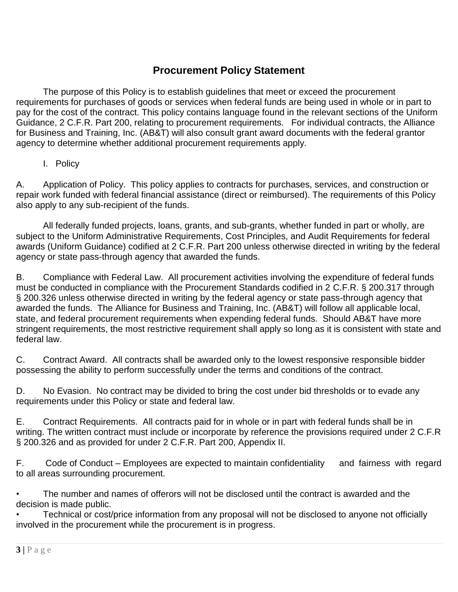## **Procurement Policy Statement**

The purpose of this Policy is to establish guidelines that meet or exceed the procurement requirements for purchases of goods or services when federal funds are being used in whole or in part to pay for the cost of the contract. This policy contains language found in the relevant sections of the Uniform Guidance, 2 C.F.R. Part 200, relating to procurement requirements. For individual contracts, the Alliance for Business and Training, Inc. (AB&T) will also consult grant award documents with the federal grantor agency to determine whether additional procurement requirements apply.

#### I. Policy

A. Application of Policy. This policy applies to contracts for purchases, services, and construction or repair work funded with federal financial assistance (direct or reimbursed). The requirements of this Policy also apply to any sub-recipient of the funds.

All federally funded projects, loans, grants, and sub-grants, whether funded in part or wholly, are subject to the Uniform Administrative Requirements, Cost Principles, and Audit Requirements for federal awards (Uniform Guidance) codified at 2 C.F.R. Part 200 unless otherwise directed in writing by the federal agency or state pass-through agency that awarded the funds.

B. Compliance with Federal Law. All procurement activities involving the expenditure of federal funds must be conducted in compliance with the Procurement Standards codified in 2 C.F.R. § 200.317 through § 200.326 unless otherwise directed in writing by the federal agency or state pass-through agency that awarded the funds. The Alliance for Business and Training, Inc. (AB&T) will follow all applicable local, state, and federal procurement requirements when expending federal funds. Should AB&T have more stringent requirements, the most restrictive requirement shall apply so long as it is consistent with state and federal law.

C. Contract Award. All contracts shall be awarded only to the lowest responsive responsible bidder possessing the ability to perform successfully under the terms and conditions of the contract.

D. No Evasion. No contract may be divided to bring the cost under bid thresholds or to evade any requirements under this Policy or state and federal law.

E. Contract Requirements. All contracts paid for in whole or in part with federal funds shall be in writing. The written contract must include or incorporate by reference the provisions required under 2 C.F.R § 200.326 and as provided for under 2 C.F.R. Part 200, Appendix II.

F. Code of Conduct – Employees are expected to maintain confidentiality and fairness with regard to all areas surrounding procurement.

• The number and names of offerors will not be disclosed until the contract is awarded and the decision is made public.

• Technical or cost/price information from any proposal will not be disclosed to anyone not officially involved in the procurement while the procurement is in progress.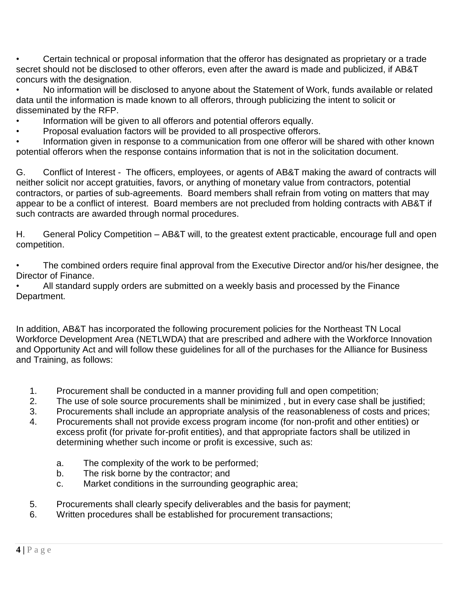• Certain technical or proposal information that the offeror has designated as proprietary or a trade secret should not be disclosed to other offerors, even after the award is made and publicized, if AB&T concurs with the designation.

• No information will be disclosed to anyone about the Statement of Work, funds available or related data until the information is made known to all offerors, through publicizing the intent to solicit or disseminated by the RFP.

- Information will be given to all offerors and potential offerors equally.
- Proposal evaluation factors will be provided to all prospective offerors.

Information given in response to a communication from one offeror will be shared with other known potential offerors when the response contains information that is not in the solicitation document.

G. Conflict of Interest - The officers, employees, or agents of AB&T making the award of contracts will neither solicit nor accept gratuities, favors, or anything of monetary value from contractors, potential contractors, or parties of sub-agreements. Board members shall refrain from voting on matters that may appear to be a conflict of interest. Board members are not precluded from holding contracts with AB&T if such contracts are awarded through normal procedures.

H. General Policy Competition – AB&T will, to the greatest extent practicable, encourage full and open competition.

The combined orders require final approval from the Executive Director and/or his/her designee, the Director of Finance.

• All standard supply orders are submitted on a weekly basis and processed by the Finance Department.

In addition, AB&T has incorporated the following procurement policies for the Northeast TN Local Workforce Development Area (NETLWDA) that are prescribed and adhere with the Workforce Innovation and Opportunity Act and will follow these guidelines for all of the purchases for the Alliance for Business and Training, as follows:

- 1. Procurement shall be conducted in a manner providing full and open competition;
- 2. The use of sole source procurements shall be minimized , but in every case shall be justified;
- 3. Procurements shall include an appropriate analysis of the reasonableness of costs and prices;
- 4. Procurements shall not provide excess program income (for non-profit and other entities) or excess profit (for private for-profit entities), and that appropriate factors shall be utilized in determining whether such income or profit is excessive, such as:
	- a. The complexity of the work to be performed;
	- b. The risk borne by the contractor; and
	- c. Market conditions in the surrounding geographic area;
- 5. Procurements shall clearly specify deliverables and the basis for payment;
- 6. Written procedures shall be established for procurement transactions;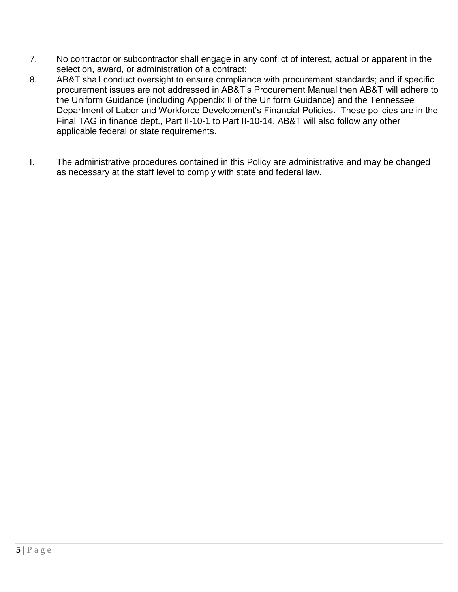- 7. No contractor or subcontractor shall engage in any conflict of interest, actual or apparent in the selection, award, or administration of a contract;
- 8. AB&T shall conduct oversight to ensure compliance with procurement standards; and if specific procurement issues are not addressed in AB&T's Procurement Manual then AB&T will adhere to the Uniform Guidance (including Appendix II of the Uniform Guidance) and the Tennessee Department of Labor and Workforce Development's Financial Policies. These policies are in the Final TAG in finance dept., Part II-10-1 to Part II-10-14. AB&T will also follow any other applicable federal or state requirements.
- I. The administrative procedures contained in this Policy are administrative and may be changed as necessary at the staff level to comply with state and federal law.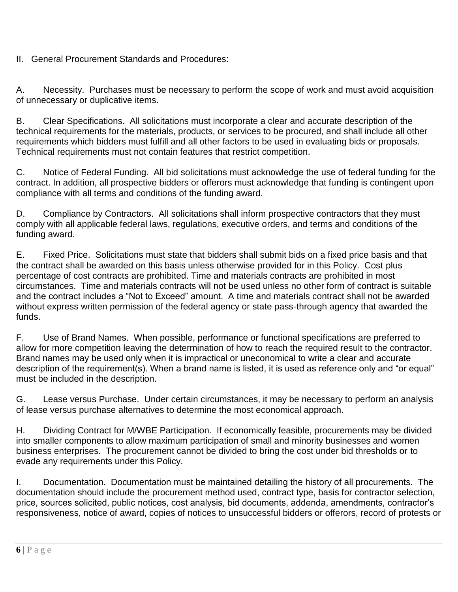II. General Procurement Standards and Procedures:

A. Necessity. Purchases must be necessary to perform the scope of work and must avoid acquisition of unnecessary or duplicative items.

B. Clear Specifications. All solicitations must incorporate a clear and accurate description of the technical requirements for the materials, products, or services to be procured, and shall include all other requirements which bidders must fulfill and all other factors to be used in evaluating bids or proposals. Technical requirements must not contain features that restrict competition.

C. Notice of Federal Funding. All bid solicitations must acknowledge the use of federal funding for the contract. In addition, all prospective bidders or offerors must acknowledge that funding is contingent upon compliance with all terms and conditions of the funding award.

D. Compliance by Contractors. All solicitations shall inform prospective contractors that they must comply with all applicable federal laws, regulations, executive orders, and terms and conditions of the funding award.

E. Fixed Price. Solicitations must state that bidders shall submit bids on a fixed price basis and that the contract shall be awarded on this basis unless otherwise provided for in this Policy. Cost plus percentage of cost contracts are prohibited. Time and materials contracts are prohibited in most circumstances. Time and materials contracts will not be used unless no other form of contract is suitable and the contract includes a "Not to Exceed" amount. A time and materials contract shall not be awarded without express written permission of the federal agency or state pass-through agency that awarded the funds.

F. Use of Brand Names. When possible, performance or functional specifications are preferred to allow for more competition leaving the determination of how to reach the required result to the contractor. Brand names may be used only when it is impractical or uneconomical to write a clear and accurate description of the requirement(s). When a brand name is listed, it is used as reference only and "or equal" must be included in the description.

G. Lease versus Purchase. Under certain circumstances, it may be necessary to perform an analysis of lease versus purchase alternatives to determine the most economical approach.

H. Dividing Contract for M/WBE Participation. If economically feasible, procurements may be divided into smaller components to allow maximum participation of small and minority businesses and women business enterprises. The procurement cannot be divided to bring the cost under bid thresholds or to evade any requirements under this Policy.

I. Documentation. Documentation must be maintained detailing the history of all procurements. The documentation should include the procurement method used, contract type, basis for contractor selection, price, sources solicited, public notices, cost analysis, bid documents, addenda, amendments, contractor's responsiveness, notice of award, copies of notices to unsuccessful bidders or offerors, record of protests or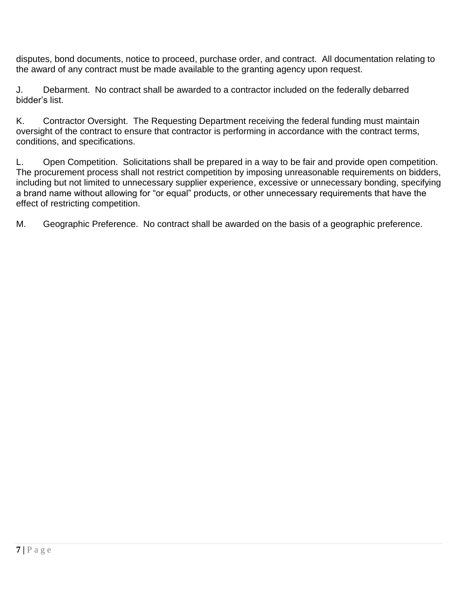disputes, bond documents, notice to proceed, purchase order, and contract. All documentation relating to the award of any contract must be made available to the granting agency upon request.

J. Debarment. No contract shall be awarded to a contractor included on the federally debarred bidder's list.

K. Contractor Oversight. The Requesting Department receiving the federal funding must maintain oversight of the contract to ensure that contractor is performing in accordance with the contract terms, conditions, and specifications.

L. Open Competition. Solicitations shall be prepared in a way to be fair and provide open competition. The procurement process shall not restrict competition by imposing unreasonable requirements on bidders, including but not limited to unnecessary supplier experience, excessive or unnecessary bonding, specifying a brand name without allowing for "or equal" products, or other unnecessary requirements that have the effect of restricting competition.

M. Geographic Preference. No contract shall be awarded on the basis of a geographic preference.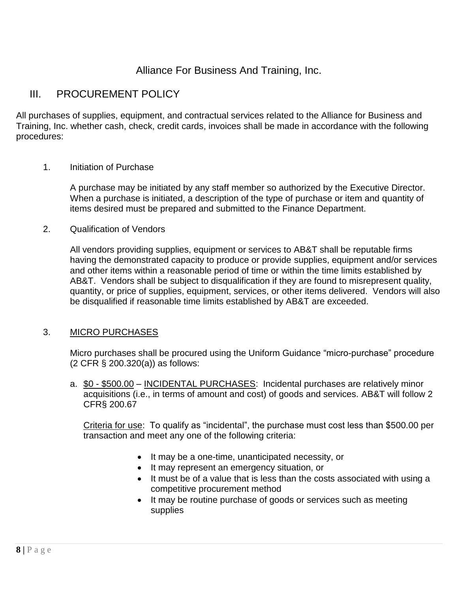## Alliance For Business And Training, Inc.

## III. PROCUREMENT POLICY

All purchases of supplies, equipment, and contractual services related to the Alliance for Business and Training, Inc. whether cash, check, credit cards, invoices shall be made in accordance with the following procedures:

#### 1. Initiation of Purchase

A purchase may be initiated by any staff member so authorized by the Executive Director. When a purchase is initiated, a description of the type of purchase or item and quantity of items desired must be prepared and submitted to the Finance Department.

2. Qualification of Vendors

All vendors providing supplies, equipment or services to AB&T shall be reputable firms having the demonstrated capacity to produce or provide supplies, equipment and/or services and other items within a reasonable period of time or within the time limits established by AB&T. Vendors shall be subject to disqualification if they are found to misrepresent quality, quantity, or price of supplies, equipment, services, or other items delivered. Vendors will also be disqualified if reasonable time limits established by AB&T are exceeded.

#### 3. MICRO PURCHASES

Micro purchases shall be procured using the Uniform Guidance "micro-purchase" procedure (2 CFR § 200.320(a)) as follows:

a. \$0 - \$500.00 – INCIDENTAL PURCHASES: Incidental purchases are relatively minor acquisitions (i.e., in terms of amount and cost) of goods and services. AB&T will follow 2 CFR§ 200.67

Criteria for use: To qualify as "incidental", the purchase must cost less than \$500.00 per transaction and meet any one of the following criteria:

- It may be a one-time, unanticipated necessity, or
- It may represent an emergency situation, or
- It must be of a value that is less than the costs associated with using a competitive procurement method
- It may be routine purchase of goods or services such as meeting supplies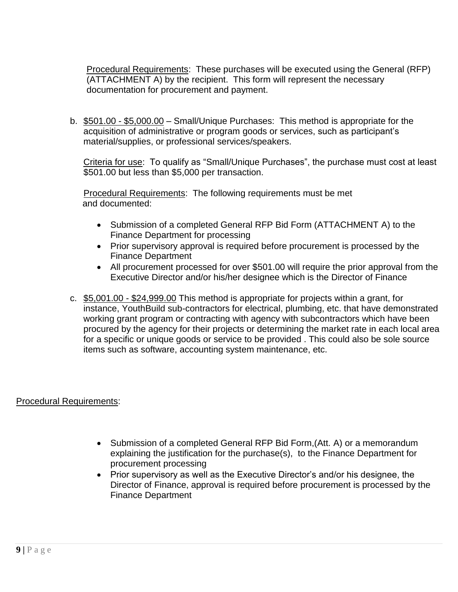Procedural Requirements: These purchases will be executed using the General (RFP) (ATTACHMENT A) by the recipient. This form will represent the necessary documentation for procurement and payment.

b. \$501.00 - \$5,000.00 - Small/Unique Purchases: This method is appropriate for the acquisition of administrative or program goods or services, such as participant's material/supplies, or professional services/speakers.

Criteria for use: To qualify as "Small/Unique Purchases", the purchase must cost at least \$501.00 but less than \$5,000 per transaction.

 Procedural Requirements: The following requirements must be met and documented:

- Submission of a completed General RFP Bid Form (ATTACHMENT A) to the Finance Department for processing
- Prior supervisory approval is required before procurement is processed by the Finance Department
- All procurement processed for over \$501.00 will require the prior approval from the Executive Director and/or his/her designee which is the Director of Finance
- c. \$5,001.00 \$24,999.00 This method is appropriate for projects within a grant, for instance, YouthBuild sub-contractors for electrical, plumbing, etc. that have demonstrated working grant program or contracting with agency with subcontractors which have been procured by the agency for their projects or determining the market rate in each local area for a specific or unique goods or service to be provided . This could also be sole source items such as software, accounting system maintenance, etc.

#### Procedural Requirements:

- Submission of a completed General RFP Bid Form, (Att. A) or a memorandum explaining the justification for the purchase(s), to the Finance Department for procurement processing
- Prior supervisory as well as the Executive Director's and/or his designee, the Director of Finance, approval is required before procurement is processed by the Finance Department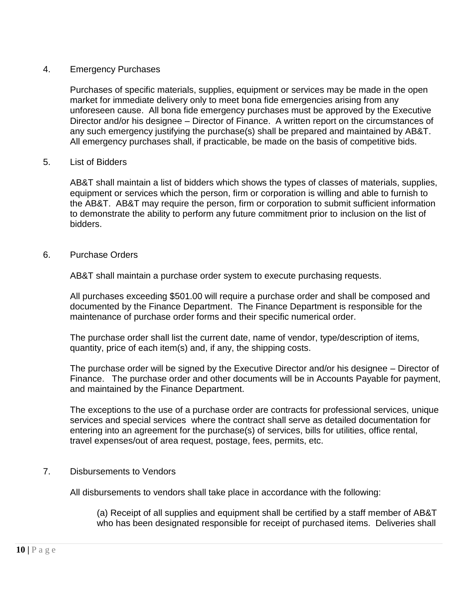#### 4. Emergency Purchases

Purchases of specific materials, supplies, equipment or services may be made in the open market for immediate delivery only to meet bona fide emergencies arising from any unforeseen cause. All bona fide emergency purchases must be approved by the Executive Director and/or his designee – Director of Finance. A written report on the circumstances of any such emergency justifying the purchase(s) shall be prepared and maintained by AB&T. All emergency purchases shall, if practicable, be made on the basis of competitive bids.

#### 5. List of Bidders

AB&T shall maintain a list of bidders which shows the types of classes of materials, supplies, equipment or services which the person, firm or corporation is willing and able to furnish to the AB&T. AB&T may require the person, firm or corporation to submit sufficient information to demonstrate the ability to perform any future commitment prior to inclusion on the list of bidders.

#### 6. Purchase Orders

AB&T shall maintain a purchase order system to execute purchasing requests.

All purchases exceeding \$501.00 will require a purchase order and shall be composed and documented by the Finance Department. The Finance Department is responsible for the maintenance of purchase order forms and their specific numerical order.

The purchase order shall list the current date, name of vendor, type/description of items, quantity, price of each item(s) and, if any, the shipping costs.

The purchase order will be signed by the Executive Director and/or his designee – Director of Finance. The purchase order and other documents will be in Accounts Payable for payment, and maintained by the Finance Department.

The exceptions to the use of a purchase order are contracts for professional services, unique services and special services where the contract shall serve as detailed documentation for entering into an agreement for the purchase(s) of services, bills for utilities, office rental, travel expenses/out of area request, postage, fees, permits, etc.

#### 7. Disbursements to Vendors

All disbursements to vendors shall take place in accordance with the following:

(a) Receipt of all supplies and equipment shall be certified by a staff member of AB&T who has been designated responsible for receipt of purchased items. Deliveries shall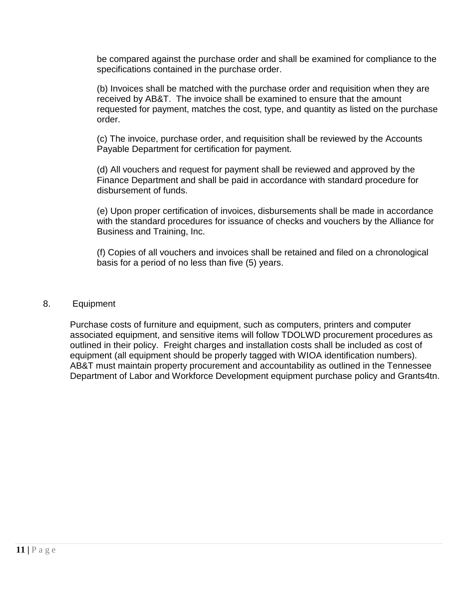be compared against the purchase order and shall be examined for compliance to the specifications contained in the purchase order.

(b) Invoices shall be matched with the purchase order and requisition when they are received by AB&T. The invoice shall be examined to ensure that the amount requested for payment, matches the cost, type, and quantity as listed on the purchase order.

(c) The invoice, purchase order, and requisition shall be reviewed by the Accounts Payable Department for certification for payment.

(d) All vouchers and request for payment shall be reviewed and approved by the Finance Department and shall be paid in accordance with standard procedure for disbursement of funds.

(e) Upon proper certification of invoices, disbursements shall be made in accordance with the standard procedures for issuance of checks and vouchers by the Alliance for Business and Training, Inc.

(f) Copies of all vouchers and invoices shall be retained and filed on a chronological basis for a period of no less than five (5) years.

#### 8. Equipment

Purchase costs of furniture and equipment, such as computers, printers and computer associated equipment, and sensitive items will follow TDOLWD procurement procedures as outlined in their policy. Freight charges and installation costs shall be included as cost of equipment (all equipment should be properly tagged with WIOA identification numbers). AB&T must maintain property procurement and accountability as outlined in the Tennessee Department of Labor and Workforce Development equipment purchase policy and Grants4tn.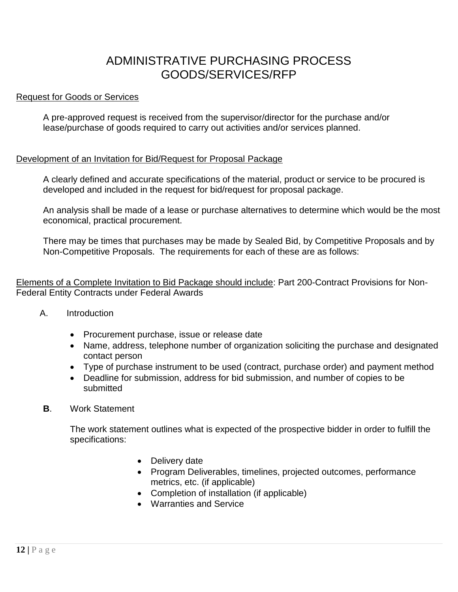## ADMINISTRATIVE PURCHASING PROCESS GOODS/SERVICES/RFP

#### Request for Goods or Services

A pre-approved request is received from the supervisor/director for the purchase and/or lease/purchase of goods required to carry out activities and/or services planned.

#### Development of an Invitation for Bid/Request for Proposal Package

A clearly defined and accurate specifications of the material, product or service to be procured is developed and included in the request for bid/request for proposal package.

An analysis shall be made of a lease or purchase alternatives to determine which would be the most economical, practical procurement.

There may be times that purchases may be made by Sealed Bid, by Competitive Proposals and by Non-Competitive Proposals. The requirements for each of these are as follows:

Elements of a Complete Invitation to Bid Package should include: Part 200-Contract Provisions for Non-Federal Entity Contracts under Federal Awards

- A. Introduction
	- Procurement purchase, issue or release date
	- Name, address, telephone number of organization soliciting the purchase and designated contact person
	- Type of purchase instrument to be used (contract, purchase order) and payment method
	- Deadline for submission, address for bid submission, and number of copies to be submitted
- **B**. Work Statement

The work statement outlines what is expected of the prospective bidder in order to fulfill the specifications:

- Delivery date
- Program Deliverables, timelines, projected outcomes, performance metrics, etc. (if applicable)
- Completion of installation (if applicable)
- Warranties and Service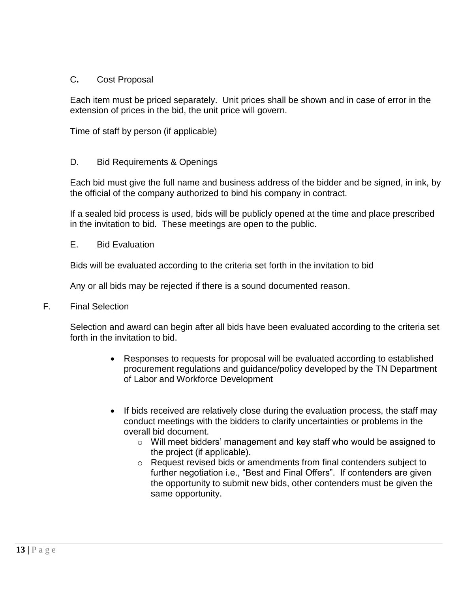#### C**.** Cost Proposal

Each item must be priced separately. Unit prices shall be shown and in case of error in the extension of prices in the bid, the unit price will govern.

Time of staff by person (if applicable)

#### D. Bid Requirements & Openings

Each bid must give the full name and business address of the bidder and be signed, in ink, by the official of the company authorized to bind his company in contract.

If a sealed bid process is used, bids will be publicly opened at the time and place prescribed in the invitation to bid. These meetings are open to the public.

E. Bid Evaluation

Bids will be evaluated according to the criteria set forth in the invitation to bid

Any or all bids may be rejected if there is a sound documented reason.

F. Final Selection

Selection and award can begin after all bids have been evaluated according to the criteria set forth in the invitation to bid.

- Responses to requests for proposal will be evaluated according to established procurement regulations and guidance/policy developed by the TN Department of Labor and Workforce Development
- If bids received are relatively close during the evaluation process, the staff may conduct meetings with the bidders to clarify uncertainties or problems in the overall bid document.
	- o Will meet bidders' management and key staff who would be assigned to the project (if applicable).
	- o Request revised bids or amendments from final contenders subject to further negotiation i.e., "Best and Final Offers". If contenders are given the opportunity to submit new bids, other contenders must be given the same opportunity.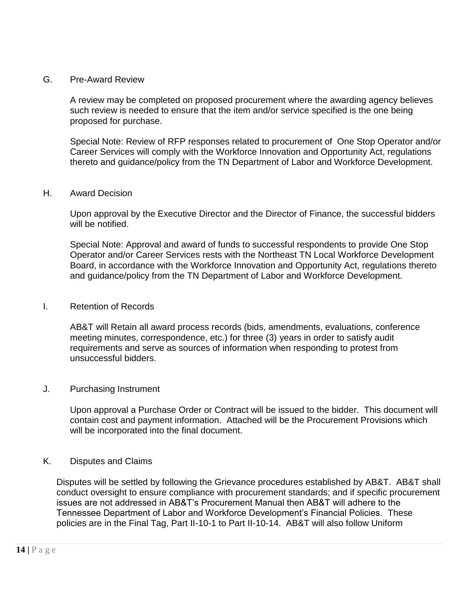#### G. Pre-Award Review

A review may be completed on proposed procurement where the awarding agency believes such review is needed to ensure that the item and/or service specified is the one being proposed for purchase.

Special Note: Review of RFP responses related to procurement of One Stop Operator and/or Career Services will comply with the Workforce Innovation and Opportunity Act, regulations thereto and guidance/policy from the TN Department of Labor and Workforce Development.

#### H. Award Decision

Upon approval by the Executive Director and the Director of Finance, the successful bidders will be notified.

Special Note: Approval and award of funds to successful respondents to provide One Stop Operator and/or Career Services rests with the Northeast TN Local Workforce Development Board, in accordance with the Workforce Innovation and Opportunity Act, regulations thereto and guidance/policy from the TN Department of Labor and Workforce Development.

#### I. Retention of Records

AB&T will Retain all award process records (bids, amendments, evaluations, conference meeting minutes, correspondence, etc.) for three (3) years in order to satisfy audit requirements and serve as sources of information when responding to protest from unsuccessful bidders.

#### J. Purchasing Instrument

Upon approval a Purchase Order or Contract will be issued to the bidder. This document will contain cost and payment information. Attached will be the Procurement Provisions which will be incorporated into the final document.

#### K. Disputes and Claims

Disputes will be settled by following the Grievance procedures established by AB&T. AB&T shall conduct oversight to ensure compliance with procurement standards; and if specific procurement issues are not addressed in AB&T's Procurement Manual then AB&T will adhere to the Tennessee Department of Labor and Workforce Development's Financial Policies. These policies are in the Final Tag, Part II-10-1 to Part II-10-14. AB&T will also follow Uniform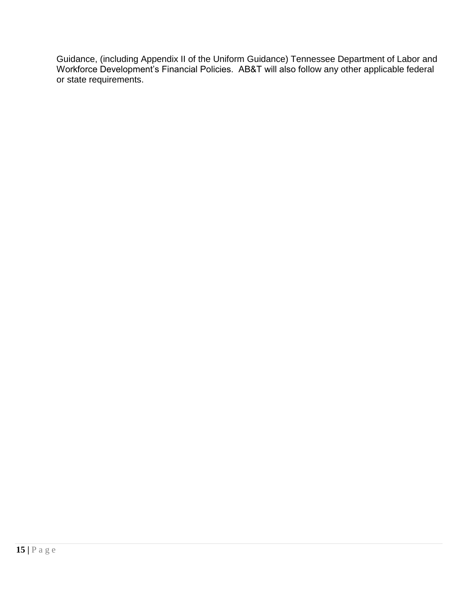Guidance, (including Appendix II of the Uniform Guidance) Tennessee Department of Labor and Workforce Development's Financial Policies. AB&T will also follow any other applicable federal or state requirements.